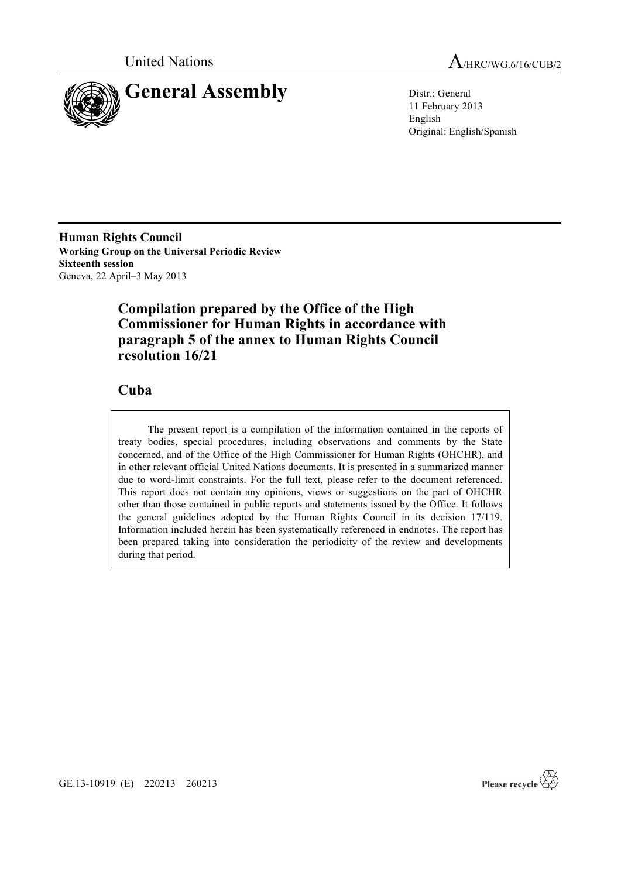

United Nations A<sub>/HRC/WG.6/16/CUB/2</sub>

11 February 2013 English Original: English/Spanish

**Human Rights Council Working Group on the Universal Periodic Review Sixteenth session** Geneva, 22 April–3 May 2013

# **Compilation prepared by the Office of the High Commissioner for Human Rights in accordance with paragraph 5 of the annex to Human Rights Council resolution 16/21**

# **Cuba**

The present report is a compilation of the information contained in the reports of treaty bodies, special procedures, including observations and comments by the State concerned, and of the Office of the High Commissioner for Human Rights (OHCHR), and in other relevant official United Nations documents. It is presented in a summarized manner due to word-limit constraints. For the full text, please refer to the document referenced. This report does not contain any opinions, views or suggestions on the part of OHCHR other than those contained in public reports and statements issued by the Office. It follows the general guidelines adopted by the Human Rights Council in its decision 17/119. Information included herein has been systematically referenced in endnotes. The report has been prepared taking into consideration the periodicity of the review and developments during that period.



GE.13-10919 (E) 220213 260213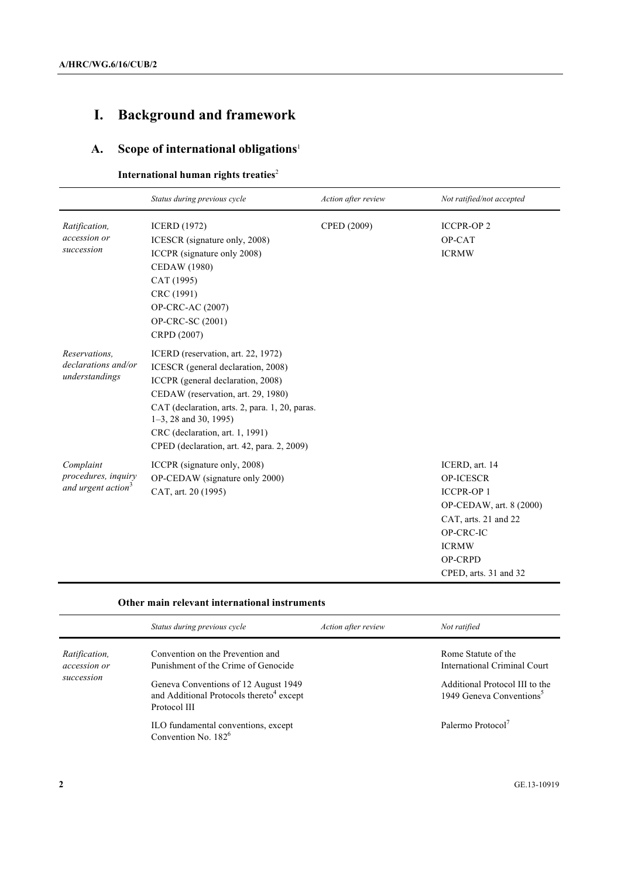# **I. Background and framework**

# **A. Scope of international obligations**<sup>1</sup>

# **International human rights treaties<sup>2</sup>**

|                                                                    | Status during previous cycle                                                                                                                                                                                                                                                                                       | Action after review | Not ratified/not accepted                                                                                                                                                         |
|--------------------------------------------------------------------|--------------------------------------------------------------------------------------------------------------------------------------------------------------------------------------------------------------------------------------------------------------------------------------------------------------------|---------------------|-----------------------------------------------------------------------------------------------------------------------------------------------------------------------------------|
| Ratification,<br>accession or<br>succession                        | <b>ICERD</b> (1972)<br>ICESCR (signature only, 2008)<br>ICCPR (signature only 2008)<br><b>CEDAW</b> (1980)<br>CAT (1995)<br>CRC (1991)<br>OP-CRC-AC (2007)<br>OP-CRC-SC (2001)<br>CRPD (2007)                                                                                                                      | CPED (2009)         | <b>ICCPR-OP2</b><br>OP-CAT<br><b>ICRMW</b>                                                                                                                                        |
| Reservations.<br>declarations and/or<br>understandings             | ICERD (reservation, art. 22, 1972)<br>ICESCR (general declaration, 2008)<br>ICCPR (general declaration, 2008)<br>CEDAW (reservation, art. 29, 1980)<br>CAT (declaration, arts. 2, para. 1, 20, paras.<br>$1-3$ , 28 and 30, 1995)<br>CRC (declaration, art. 1, 1991)<br>CPED (declaration, art. 42, para. 2, 2009) |                     |                                                                                                                                                                                   |
| Complaint<br>procedures, inquiry<br>and urgent action <sup>3</sup> | ICCPR (signature only, 2008)<br>OP-CEDAW (signature only 2000)<br>CAT, art. 20 (1995)                                                                                                                                                                                                                              |                     | ICERD, art. 14<br><b>OP-ICESCR</b><br><b>ICCPR-OP1</b><br>OP-CEDAW, art. 8 (2000)<br>CAT, arts. 21 and 22<br>OP-CRC-IC<br><b>ICRMW</b><br><b>OP-CRPD</b><br>CPED, arts. 31 and 32 |

#### **Other main relevant international instruments**

|                                                    | Status during previous cycle                                                                                    | Action after review | Not ratified                                                                          |
|----------------------------------------------------|-----------------------------------------------------------------------------------------------------------------|---------------------|---------------------------------------------------------------------------------------|
| <i>Ratification,</i><br>accession or<br>succession | Convention on the Prevention and<br>Punishment of the Crime of Genocide<br>Geneva Conventions of 12 August 1949 |                     | Rome Statute of the<br>International Criminal Court<br>Additional Protocol III to the |
|                                                    | and Additional Protocols thereto <sup>4</sup> except<br>Protocol III                                            |                     | 1949 Geneva Conventions <sup>5</sup>                                                  |
|                                                    | ILO fundamental conventions, except<br>Convention No. $182^6$                                                   |                     | Palermo Protocol <sup>7</sup>                                                         |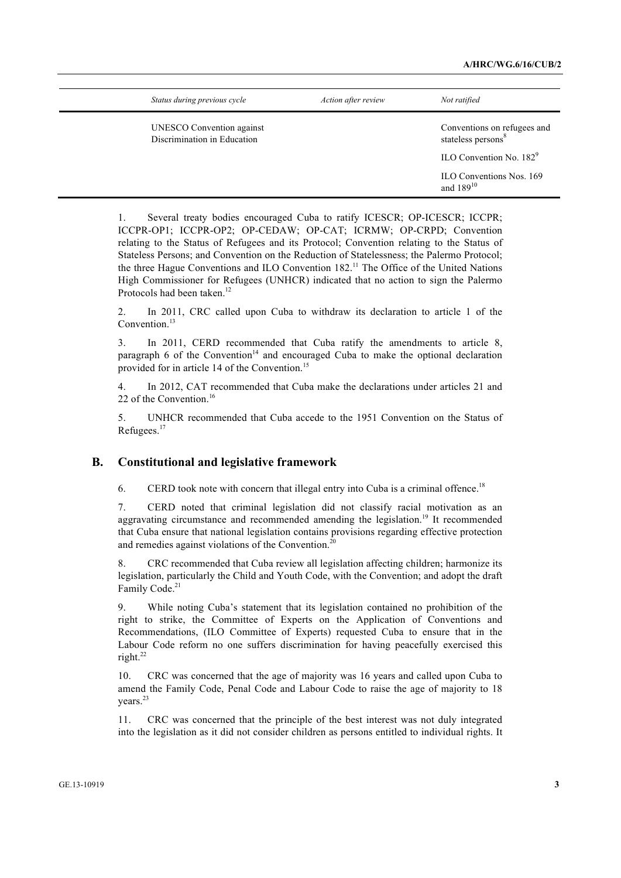| Status during previous cycle                                    | Action after review | Not ratified                                                  |
|-----------------------------------------------------------------|---------------------|---------------------------------------------------------------|
| <b>UNESCO</b> Convention against<br>Discrimination in Education |                     | Conventions on refugees and<br>stateless persons <sup>8</sup> |
|                                                                 |                     | $\text{ILO}$ Convention No. 182 <sup>9</sup>                  |
|                                                                 |                     | ILO Conventions Nos. 169<br>and $189^{10}$                    |

1. Several treaty bodies encouraged Cuba to ratify ICESCR; OP-ICESCR; ICCPR; ICCPR-OP1; ICCPR-OP2; OP-CEDAW; OP-CAT; ICRMW; OP-CRPD; Convention relating to the Status of Refugees and its Protocol; Convention relating to the Status of Stateless Persons; and Convention on the Reduction of Statelessness; the Palermo Protocol; the three Hague Conventions and ILO Convention 182.<sup>11</sup> The Office of the United Nations High Commissioner for Refugees (UNHCR) indicated that no action to sign the Palermo Protocols had been taken.<sup>12</sup>

2. In 2011, CRC called upon Cuba to withdraw its declaration to article 1 of the Convention.<sup>13</sup>

3. In 2011, CERD recommended that Cuba ratify the amendments to article 8, paragraph 6 of the Convention<sup>14</sup> and encouraged Cuba to make the optional declaration provided for in article 14 of the Convention.<sup>15</sup>

4. In 2012, CAT recommended that Cuba make the declarations under articles 21 and 22 of the Convention.<sup>16</sup>

5. UNHCR recommended that Cuba accede to the 1951 Convention on the Status of Refugees.<sup>17</sup>

# **B. Constitutional and legislative framework**

6. CERD took note with concern that illegal entry into Cuba is a criminal offence.<sup>18</sup>

7. CERD noted that criminal legislation did not classify racial motivation as an aggravating circumstance and recommended amending the legislation.<sup>19</sup> It recommended that Cuba ensure that national legislation contains provisions regarding effective protection and remedies against violations of the Convention.<sup>20</sup>

8. CRC recommended that Cuba review all legislation affecting children; harmonize its legislation, particularly the Child and Youth Code, with the Convention; and adopt the draft Family Code.<sup>21</sup>

9. While noting Cuba's statement that its legislation contained no prohibition of the right to strike, the Committee of Experts on the Application of Conventions and Recommendations, (ILO Committee of Experts) requested Cuba to ensure that in the Labour Code reform no one suffers discrimination for having peacefully exercised this right.22

10. CRC was concerned that the age of majority was 16 years and called upon Cuba to amend the Family Code, Penal Code and Labour Code to raise the age of majority to 18 years.<sup>23</sup>

11. CRC was concerned that the principle of the best interest was not duly integrated into the legislation as it did not consider children as persons entitled to individual rights. It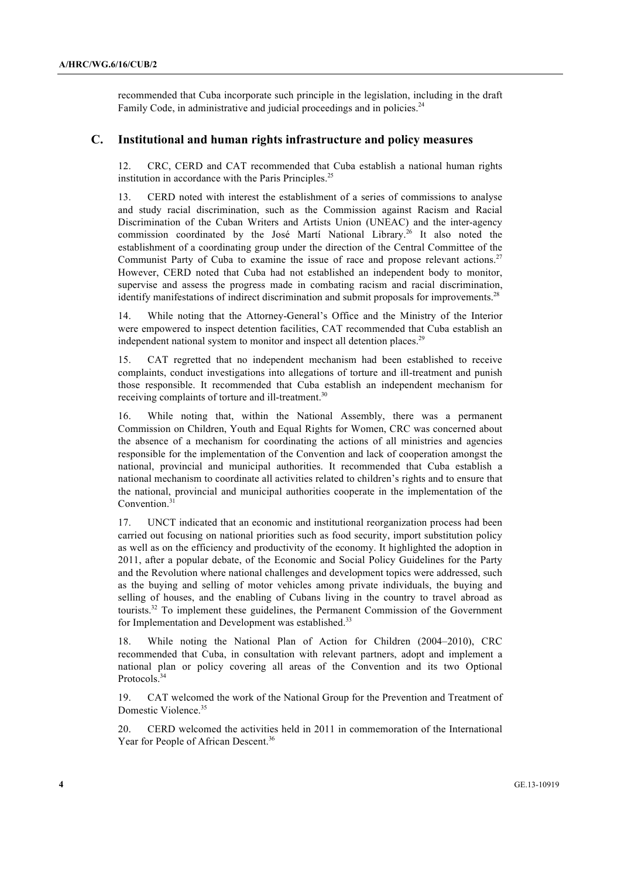recommended that Cuba incorporate such principle in the legislation, including in the draft Family Code, in administrative and judicial proceedings and in policies.<sup>24</sup>

### **C. Institutional and human rights infrastructure and policy measures**

12. CRC, CERD and CAT recommended that Cuba establish a national human rights institution in accordance with the Paris Principles.<sup>25</sup>

13. CERD noted with interest the establishment of a series of commissions to analyse and study racial discrimination, such as the Commission against Racism and Racial Discrimination of the Cuban Writers and Artists Union (UNEAC) and the inter-agency commission coordinated by the José Martí National Library.<sup>26</sup> It also noted the establishment of a coordinating group under the direction of the Central Committee of the Communist Party of Cuba to examine the issue of race and propose relevant actions.<sup>27</sup> However, CERD noted that Cuba had not established an independent body to monitor, supervise and assess the progress made in combating racism and racial discrimination, identify manifestations of indirect discrimination and submit proposals for improvements.<sup>28</sup>

14. While noting that the Attorney-General's Office and the Ministry of the Interior were empowered to inspect detention facilities, CAT recommended that Cuba establish an independent national system to monitor and inspect all detention places.<sup>29</sup>

15. CAT regretted that no independent mechanism had been established to receive complaints, conduct investigations into allegations of torture and ill-treatment and punish those responsible. It recommended that Cuba establish an independent mechanism for receiving complaints of torture and ill-treatment.<sup>30</sup>

16. While noting that, within the National Assembly, there was a permanent Commission on Children, Youth and Equal Rights for Women, CRC was concerned about the absence of a mechanism for coordinating the actions of all ministries and agencies responsible for the implementation of the Convention and lack of cooperation amongst the national, provincial and municipal authorities. It recommended that Cuba establish a national mechanism to coordinate all activities related to children's rights and to ensure that the national, provincial and municipal authorities cooperate in the implementation of the Convention.<sup>3</sup>

17. UNCT indicated that an economic and institutional reorganization process had been carried out focusing on national priorities such as food security, import substitution policy as well as on the efficiency and productivity of the economy. It highlighted the adoption in 2011, after a popular debate, of the Economic and Social Policy Guidelines for the Party and the Revolution where national challenges and development topics were addressed, such as the buying and selling of motor vehicles among private individuals, the buying and selling of houses, and the enabling of Cubans living in the country to travel abroad as tourists.32 To implement these guidelines, the Permanent Commission of the Government for Implementation and Development was established.<sup>33</sup>

18. While noting the National Plan of Action for Children (2004–2010), CRC recommended that Cuba, in consultation with relevant partners, adopt and implement a national plan or policy covering all areas of the Convention and its two Optional Protocols.<sup>34</sup>

19. CAT welcomed the work of the National Group for the Prevention and Treatment of Domestic Violence.<sup>35</sup>

20. CERD welcomed the activities held in 2011 in commemoration of the International Year for People of African Descent.<sup>36</sup>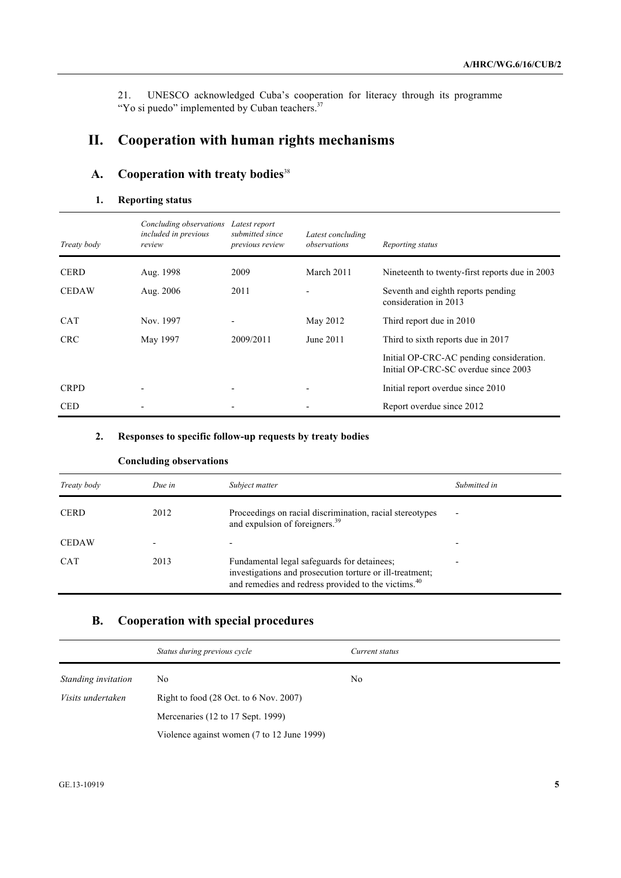21. UNESCO acknowledged Cuba's cooperation for literacy through its programme "Yo si puedo" implemented by Cuban teachers.<sup>37</sup>

# **II. Cooperation with human rights mechanisms**

# **A. Cooperation with treaty bodies**<sup>38</sup>

# **1. Reporting status**

| Treaty body  | Concluding observations<br>included in previous<br>review | Latest report<br>submitted since<br>previous review | Latest concluding<br>observations | Reporting status                                                                 |
|--------------|-----------------------------------------------------------|-----------------------------------------------------|-----------------------------------|----------------------------------------------------------------------------------|
| <b>CERD</b>  | Aug. 1998                                                 | 2009                                                | March 2011                        | Nineteenth to twenty-first reports due in 2003                                   |
| <b>CEDAW</b> | Aug. 2006                                                 | 2011                                                |                                   | Seventh and eighth reports pending<br>consideration in 2013                      |
| <b>CAT</b>   | Nov. 1997                                                 |                                                     | May 2012                          | Third report due in 2010                                                         |
| <b>CRC</b>   | May 1997                                                  | 2009/2011                                           | June 2011                         | Third to sixth reports due in 2017                                               |
|              |                                                           |                                                     |                                   | Initial OP-CRC-AC pending consideration.<br>Initial OP-CRC-SC overdue since 2003 |
| <b>CRPD</b>  |                                                           |                                                     |                                   | Initial report overdue since 2010                                                |
| <b>CED</b>   |                                                           |                                                     |                                   | Report overdue since 2012                                                        |

#### **2. Responses to specific follow-up requests by treaty bodies**

|              | Concidumg observations |                                                                                                                                                                            |              |
|--------------|------------------------|----------------------------------------------------------------------------------------------------------------------------------------------------------------------------|--------------|
| Treaty body  | Due in                 | Subject matter                                                                                                                                                             | Submitted in |
| <b>CERD</b>  | 2012                   | Proceedings on racial discrimination, racial stereotypes<br>and expulsion of foreigners. <sup>39</sup>                                                                     | ٠            |
| <b>CEDAW</b> |                        |                                                                                                                                                                            |              |
| <b>CAT</b>   | 2013                   | Fundamental legal safeguards for detainees;<br>investigations and prosecution torture or ill-treatment;<br>and remedies and redress provided to the victims. <sup>40</sup> |              |

# **Concluding observations**

# **B. Cooperation with special procedures**

|                     | Status during previous cycle                               | Current status |  |  |
|---------------------|------------------------------------------------------------|----------------|--|--|
| Standing invitation | No                                                         | No             |  |  |
| Visits undertaken   | Right to food $(28 \text{ Oct. to } 6 \text{ Nov. } 2007)$ |                |  |  |
|                     | Mercenaries (12 to 17 Sept. 1999)                          |                |  |  |
|                     | Violence against women (7 to 12 June 1999)                 |                |  |  |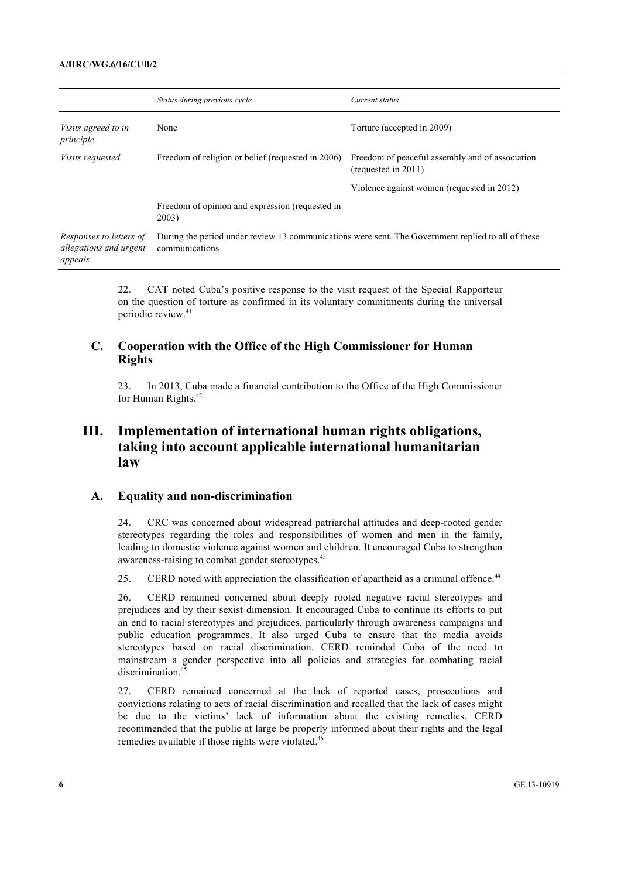#### **A/HRC/WG.6/16/CUB/2**

|                                                              | Status during previous cycle                             | Current status                                                                                     |  |
|--------------------------------------------------------------|----------------------------------------------------------|----------------------------------------------------------------------------------------------------|--|
| <i>Visits agreed to in</i><br>principle                      | None                                                     | Torture (accepted in 2009)                                                                         |  |
| <i>Visits requested</i>                                      | Freedom of religion or belief (requested in 2006)        | Freedom of peaceful assembly and of association<br>(requested in 2011)                             |  |
|                                                              |                                                          | Violence against women (requested in 2012)                                                         |  |
|                                                              | Freedom of opinion and expression (requested in<br>2003) |                                                                                                    |  |
| Responses to letters of<br>allegations and urgent<br>appeals | communications                                           | During the period under review 13 communications were sent. The Government replied to all of these |  |

22. CAT noted Cuba's positive response to the visit request of the Special Rapporteur on the question of torture as confirmed in its voluntary commitments during the universal periodic review. 41

# **C. Cooperation with the Office of the High Commissioner for Human Rights**

23. In 2013, Cuba made a financial contribution to the Office of the High Commissioner for Human Rights.<sup>42</sup>

# **III. Implementation of international human rights obligations, taking into account applicable international humanitarian law**

#### **A. Equality and non-discrimination**

24. CRC was concerned about widespread patriarchal attitudes and deep-rooted gender stereotypes regarding the roles and responsibilities of women and men in the family, leading to domestic violence against women and children. It encouraged Cuba to strengthen awareness-raising to combat gender stereotypes.<sup>43</sup>

25. CERD noted with appreciation the classification of apartheid as a criminal offence.<sup>44</sup>

26. CERD remained concerned about deeply rooted negative racial stereotypes and prejudices and by their sexist dimension. It encouraged Cuba to continue its efforts to put an end to racial stereotypes and prejudices, particularly through awareness campaigns and public education programmes. It also urged Cuba to ensure that the media avoids stereotypes based on racial discrimination. CERD reminded Cuba of the need to mainstream a gender perspective into all policies and strategies for combating racial discrimination.<sup>45</sup>

27. CERD remained concerned at the lack of reported cases, prosecutions and convictions relating to acts of racial discrimination and recalled that the lack of cases might be due to the victims' lack of information about the existing remedies. CERD recommended that the public at large be properly informed about their rights and the legal remedies available if those rights were violated.<sup>46</sup>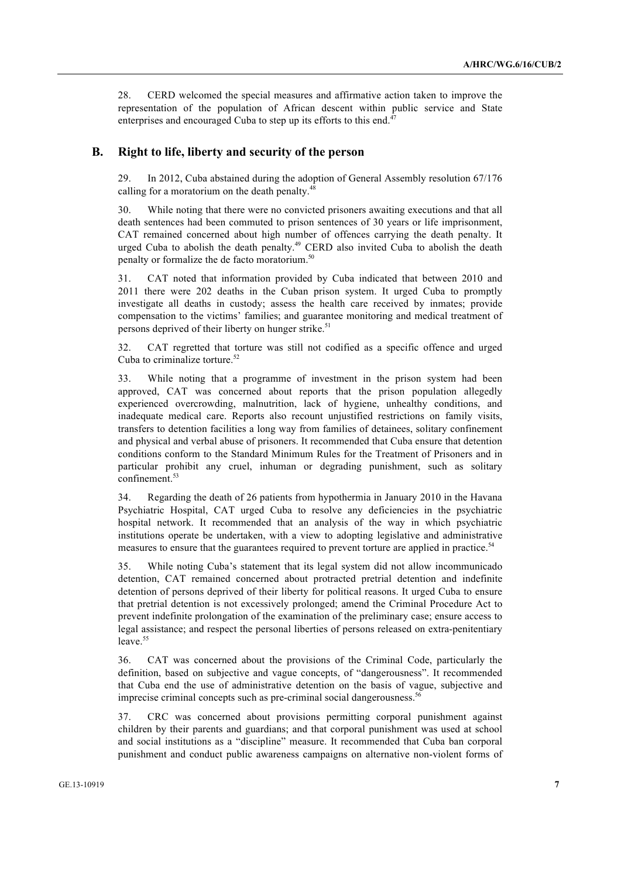28. CERD welcomed the special measures and affirmative action taken to improve the representation of the population of African descent within public service and State enterprises and encouraged Cuba to step up its efforts to this end.<sup>47</sup>

#### **B. Right to life, liberty and security of the person**

29. In 2012, Cuba abstained during the adoption of General Assembly resolution 67/176 calling for a moratorium on the death penalty.<sup>48</sup>

30. While noting that there were no convicted prisoners awaiting executions and that all death sentences had been commuted to prison sentences of 30 years or life imprisonment, CAT remained concerned about high number of offences carrying the death penalty. It urged Cuba to abolish the death penalty.<sup>49</sup> CERD also invited Cuba to abolish the death penalty or formalize the de facto moratorium.50

31. CAT noted that information provided by Cuba indicated that between 2010 and 2011 there were 202 deaths in the Cuban prison system. It urged Cuba to promptly investigate all deaths in custody; assess the health care received by inmates; provide compensation to the victims' families; and guarantee monitoring and medical treatment of persons deprived of their liberty on hunger strike.<sup>51</sup>

32. CAT regretted that torture was still not codified as a specific offence and urged Cuba to criminalize torture.<sup>52</sup>

33. While noting that a programme of investment in the prison system had been approved, CAT was concerned about reports that the prison population allegedly experienced overcrowding, malnutrition, lack of hygiene, unhealthy conditions, and inadequate medical care. Reports also recount unjustified restrictions on family visits, transfers to detention facilities a long way from families of detainees, solitary confinement and physical and verbal abuse of prisoners. It recommended that Cuba ensure that detention conditions conform to the Standard Minimum Rules for the Treatment of Prisoners and in particular prohibit any cruel, inhuman or degrading punishment, such as solitary confinement.<sup>53</sup>

34. Regarding the death of 26 patients from hypothermia in January 2010 in the Havana Psychiatric Hospital, CAT urged Cuba to resolve any deficiencies in the psychiatric hospital network. It recommended that an analysis of the way in which psychiatric institutions operate be undertaken, with a view to adopting legislative and administrative measures to ensure that the guarantees required to prevent torture are applied in practice.<sup>54</sup>

35. While noting Cuba's statement that its legal system did not allow incommunicado detention, CAT remained concerned about protracted pretrial detention and indefinite detention of persons deprived of their liberty for political reasons. It urged Cuba to ensure that pretrial detention is not excessively prolonged; amend the Criminal Procedure Act to prevent indefinite prolongation of the examination of the preliminary case; ensure access to legal assistance; and respect the personal liberties of persons released on extra-penitentiary  $leave.$ <sup>55</sup>

36. CAT was concerned about the provisions of the Criminal Code, particularly the definition, based on subjective and vague concepts, of "dangerousness". It recommended that Cuba end the use of administrative detention on the basis of vague, subjective and imprecise criminal concepts such as pre-criminal social dangerousness.<sup>5</sup>

37. CRC was concerned about provisions permitting corporal punishment against children by their parents and guardians; and that corporal punishment was used at school and social institutions as a "discipline" measure. It recommended that Cuba ban corporal punishment and conduct public awareness campaigns on alternative non-violent forms of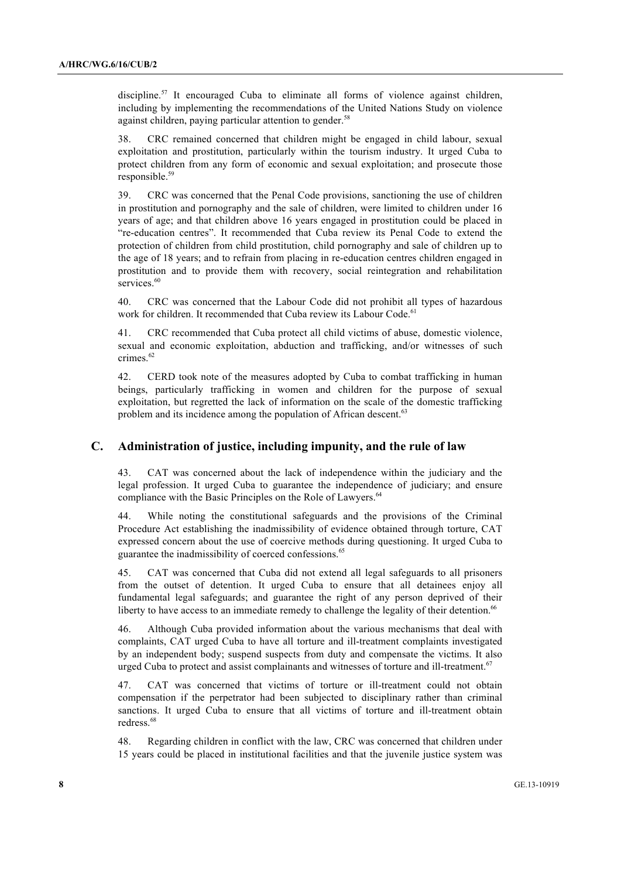discipline.<sup>57</sup> It encouraged Cuba to eliminate all forms of violence against children, including by implementing the recommendations of the United Nations Study on violence against children, paying particular attention to gender.<sup>58</sup>

38. CRC remained concerned that children might be engaged in child labour, sexual exploitation and prostitution, particularly within the tourism industry. It urged Cuba to protect children from any form of economic and sexual exploitation; and prosecute those responsible.<sup>59</sup>

39. CRC was concerned that the Penal Code provisions, sanctioning the use of children in prostitution and pornography and the sale of children, were limited to children under 16 years of age; and that children above 16 years engaged in prostitution could be placed in "re-education centres". It recommended that Cuba review its Penal Code to extend the protection of children from child prostitution, child pornography and sale of children up to the age of 18 years; and to refrain from placing in re-education centres children engaged in prostitution and to provide them with recovery, social reintegration and rehabilitation services.<sup>60</sup>

40. CRC was concerned that the Labour Code did not prohibit all types of hazardous work for children. It recommended that Cuba review its Labour Code.<sup>61</sup>

41. CRC recommended that Cuba protect all child victims of abuse, domestic violence, sexual and economic exploitation, abduction and trafficking, and/or witnesses of such crimes<sup>62</sup>

42. CERD took note of the measures adopted by Cuba to combat trafficking in human beings, particularly trafficking in women and children for the purpose of sexual exploitation, but regretted the lack of information on the scale of the domestic trafficking problem and its incidence among the population of African descent.<sup>63</sup>

### **C. Administration of justice, including impunity, and the rule of law**

43. CAT was concerned about the lack of independence within the judiciary and the legal profession. It urged Cuba to guarantee the independence of judiciary; and ensure compliance with the Basic Principles on the Role of Lawyers.<sup>64</sup>

44. While noting the constitutional safeguards and the provisions of the Criminal Procedure Act establishing the inadmissibility of evidence obtained through torture, CAT expressed concern about the use of coercive methods during questioning. It urged Cuba to guarantee the inadmissibility of coerced confessions.<sup>65</sup>

45. CAT was concerned that Cuba did not extend all legal safeguards to all prisoners from the outset of detention. It urged Cuba to ensure that all detainees enjoy all fundamental legal safeguards; and guarantee the right of any person deprived of their liberty to have access to an immediate remedy to challenge the legality of their detention.<sup>66</sup>

46. Although Cuba provided information about the various mechanisms that deal with complaints, CAT urged Cuba to have all torture and ill-treatment complaints investigated by an independent body; suspend suspects from duty and compensate the victims. It also urged Cuba to protect and assist complainants and witnesses of torture and ill-treatment.<sup>67</sup>

47. CAT was concerned that victims of torture or ill-treatment could not obtain compensation if the perpetrator had been subjected to disciplinary rather than criminal sanctions. It urged Cuba to ensure that all victims of torture and ill-treatment obtain redress.<sup>68</sup>

48. Regarding children in conflict with the law, CRC was concerned that children under 15 years could be placed in institutional facilities and that the juvenile justice system was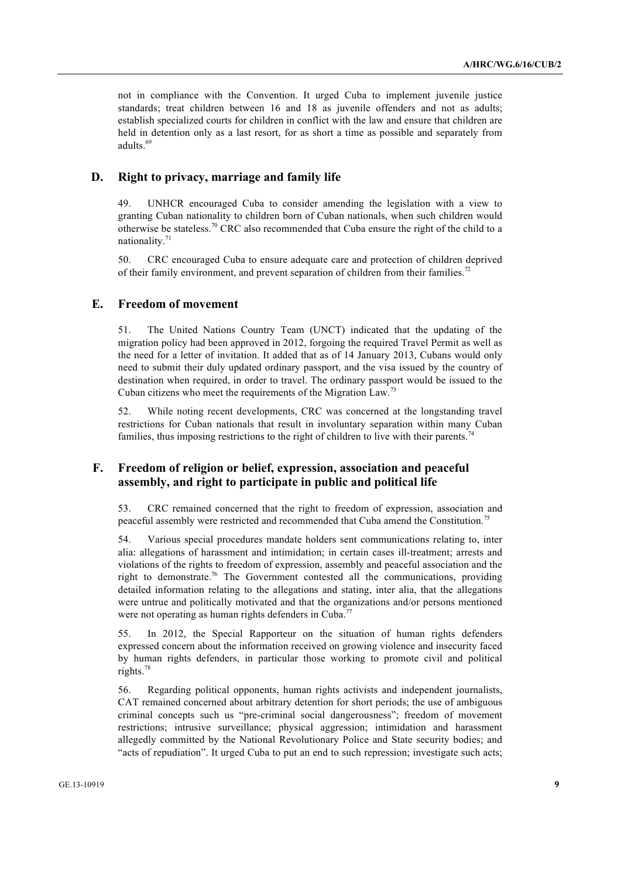not in compliance with the Convention. It urged Cuba to implement juvenile justice standards; treat children between 16 and 18 as juvenile offenders and not as adults; establish specialized courts for children in conflict with the law and ensure that children are held in detention only as a last resort, for as short a time as possible and separately from adults.<sup>69</sup>

# **D. Right to privacy, marriage and family life**

49. UNHCR encouraged Cuba to consider amending the legislation with a view to granting Cuban nationality to children born of Cuban nationals, when such children would otherwise be stateless.<sup>70</sup> CRC also recommended that Cuba ensure the right of the child to a nationality.<sup>71</sup>

50. CRC encouraged Cuba to ensure adequate care and protection of children deprived of their family environment, and prevent separation of children from their families.<sup>72</sup>

### **E. Freedom of movement**

51. The United Nations Country Team (UNCT) indicated that the updating of the migration policy had been approved in 2012, forgoing the required Travel Permit as well as the need for a letter of invitation. It added that as of 14 January 2013, Cubans would only need to submit their duly updated ordinary passport, and the visa issued by the country of destination when required, in order to travel. The ordinary passport would be issued to the Cuban citizens who meet the requirements of the Migration Law.<sup>73</sup>

52. While noting recent developments, CRC was concerned at the longstanding travel restrictions for Cuban nationals that result in involuntary separation within many Cuban families, thus imposing restrictions to the right of children to live with their parents.<sup>7</sup>

### **F. Freedom of religion or belief, expression, association and peaceful assembly, and right to participate in public and political life**

53. CRC remained concerned that the right to freedom of expression, association and peaceful assembly were restricted and recommended that Cuba amend the Constitution.<sup>75</sup>

54. Various special procedures mandate holders sent communications relating to, inter alia: allegations of harassment and intimidation; in certain cases ill-treatment; arrests and violations of the rights to freedom of expression, assembly and peaceful association and the right to demonstrate.<sup>76</sup> The Government contested all the communications, providing detailed information relating to the allegations and stating, inter alia, that the allegations were untrue and politically motivated and that the organizations and/or persons mentioned were not operating as human rights defenders in Cuba.<sup>77</sup>

55. In 2012, the Special Rapporteur on the situation of human rights defenders expressed concern about the information received on growing violence and insecurity faced by human rights defenders, in particular those working to promote civil and political rights.<sup>78</sup>

56. Regarding political opponents, human rights activists and independent journalists, CAT remained concerned about arbitrary detention for short periods; the use of ambiguous criminal concepts such us "pre-criminal social dangerousness"; freedom of movement restrictions; intrusive surveillance; physical aggression; intimidation and harassment allegedly committed by the National Revolutionary Police and State security bodies; and "acts of repudiation". It urged Cuba to put an end to such repression; investigate such acts;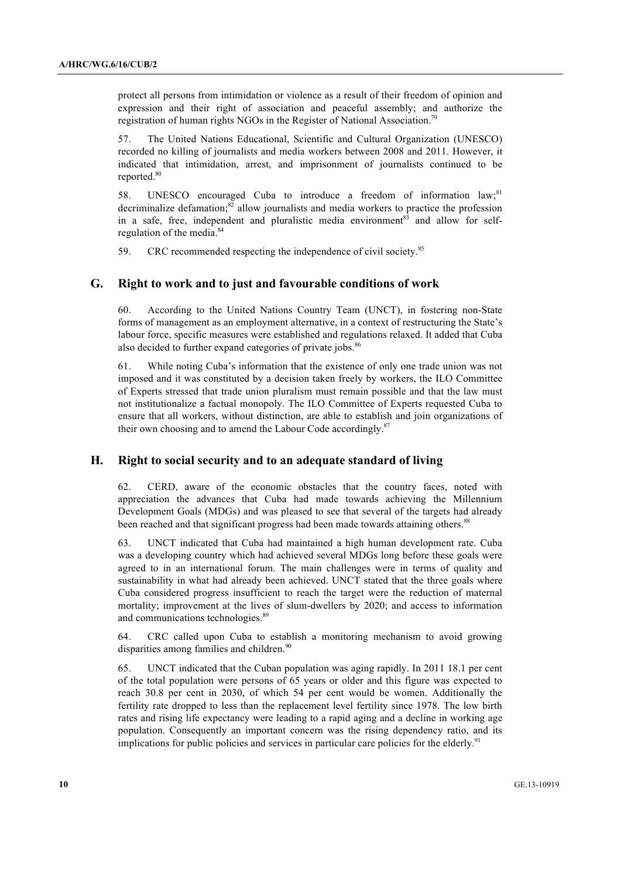protect all persons from intimidation or violence as a result of their freedom of opinion and expression and their right of association and peaceful assembly; and authorize the registration of human rights NGOs in the Register of National Association.79

57. The United Nations Educational, Scientific and Cultural Organization (UNESCO) recorded no killing of journalists and media workers between 2008 and 2011. However, it indicated that intimidation, arrest, and imprisonment of journalists continued to be reported.<sup>80</sup>

58. UNESCO encouraged Cuba to introduce a freedom of information law;<sup>81</sup> decriminalize defamation; $82$  allow journalists and media workers to practice the profession in a safe, free, independent and pluralistic media environment $83$  and allow for selfregulation of the media.<sup>84</sup>

59. CRC recommended respecting the independence of civil society.<sup>85</sup>

#### **G. Right to work and to just and favourable conditions of work**

60. According to the United Nations Country Team (UNCT), in fostering non-State forms of management as an employment alternative, in a context of restructuring the State's labour force, specific measures were established and regulations relaxed. It added that Cuba also decided to further expand categories of private jobs.<sup>86</sup>

61. While noting Cuba's information that the existence of only one trade union was not imposed and it was constituted by a decision taken freely by workers, the ILO Committee of Experts stressed that trade union pluralism must remain possible and that the law must not institutionalize a factual monopoly. The ILO Committee of Experts requested Cuba to ensure that all workers, without distinction, are able to establish and join organizations of their own choosing and to amend the Labour Code accordingly.<sup>87</sup>

#### **H. Right to social security and to an adequate standard of living**

62. CERD, aware of the economic obstacles that the country faces, noted with appreciation the advances that Cuba had made towards achieving the Millennium Development Goals (MDGs) and was pleased to see that several of the targets had already been reached and that significant progress had been made towards attaining others.<sup>88</sup>

63. UNCT indicated that Cuba had maintained a high human development rate. Cuba was a developing country which had achieved several MDGs long before these goals were agreed to in an international forum. The main challenges were in terms of quality and sustainability in what had already been achieved. UNCT stated that the three goals where Cuba considered progress insufficient to reach the target were the reduction of maternal mortality; improvement at the lives of slum-dwellers by 2020; and access to information and communications technologies.<sup>89</sup>

64. CRC called upon Cuba to establish a monitoring mechanism to avoid growing disparities among families and children.<sup>90</sup>

65. UNCT indicated that the Cuban population was aging rapidly. In 2011 18.1 per cent of the total population were persons of 65 years or older and this figure was expected to reach 30.8 per cent in 2030, of which 54 per cent would be women. Additionally the fertility rate dropped to less than the replacement level fertility since 1978. The low birth rates and rising life expectancy were leading to a rapid aging and a decline in working age population. Consequently an important concern was the rising dependency ratio, and its implications for public policies and services in particular care policies for the elderly.<sup>91</sup>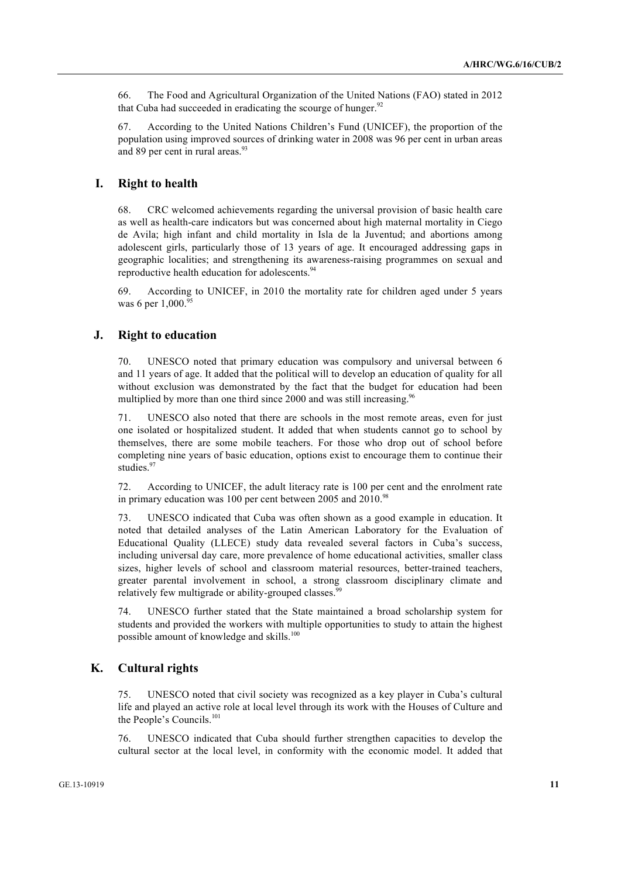66. The Food and Agricultural Organization of the United Nations (FAO) stated in 2012 that Cuba had succeeded in eradicating the scourge of hunger. $92$ 

67. According to the United Nations Children's Fund (UNICEF), the proportion of the population using improved sources of drinking water in 2008 was 96 per cent in urban areas and 89 per cent in rural areas.<sup>93</sup>

### **I. Right to health**

68. CRC welcomed achievements regarding the universal provision of basic health care as well as health-care indicators but was concerned about high maternal mortality in Ciego de Avila; high infant and child mortality in Isla de la Juventud; and abortions among adolescent girls, particularly those of 13 years of age. It encouraged addressing gaps in geographic localities; and strengthening its awareness-raising programmes on sexual and reproductive health education for adolescents.<sup>94</sup>

69. According to UNICEF, in 2010 the mortality rate for children aged under 5 years was 6 per  $1,000$ .<sup>9</sup>

### **J. Right to education**

70. UNESCO noted that primary education was compulsory and universal between 6 and 11 years of age. It added that the political will to develop an education of quality for all without exclusion was demonstrated by the fact that the budget for education had been multiplied by more than one third since 2000 and was still increasing.<sup>96</sup>

71. UNESCO also noted that there are schools in the most remote areas, even for just one isolated or hospitalized student. It added that when students cannot go to school by themselves, there are some mobile teachers. For those who drop out of school before completing nine years of basic education, options exist to encourage them to continue their studies.<sup>97</sup>

72. According to UNICEF, the adult literacy rate is 100 per cent and the enrolment rate in primary education was 100 per cent between 2005 and 2010.<sup>98</sup>

73. UNESCO indicated that Cuba was often shown as a good example in education. It noted that detailed analyses of the Latin American Laboratory for the Evaluation of Educational Quality (LLECE) study data revealed several factors in Cuba's success, including universal day care, more prevalence of home educational activities, smaller class sizes, higher levels of school and classroom material resources, better-trained teachers, greater parental involvement in school, a strong classroom disciplinary climate and relatively few multigrade or ability-grouped classes.

74. UNESCO further stated that the State maintained a broad scholarship system for students and provided the workers with multiple opportunities to study to attain the highest possible amount of knowledge and skills.<sup>100</sup>

# **K. Cultural rights**

75. UNESCO noted that civil society was recognized as a key player in Cuba's cultural life and played an active role at local level through its work with the Houses of Culture and the People's Councils.<sup>101</sup>

76. UNESCO indicated that Cuba should further strengthen capacities to develop the cultural sector at the local level, in conformity with the economic model. It added that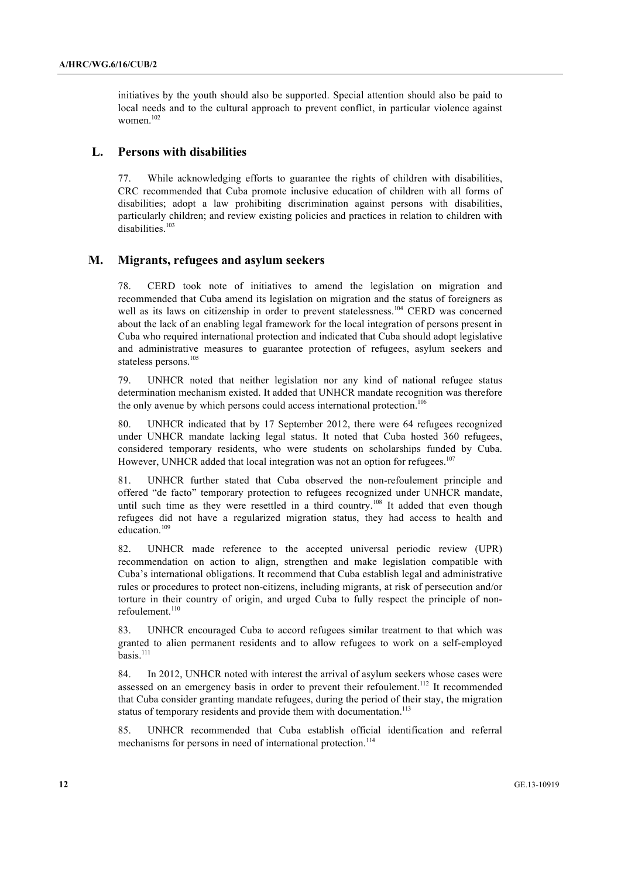initiatives by the youth should also be supported. Special attention should also be paid to local needs and to the cultural approach to prevent conflict, in particular violence against women $102$ 

#### **L. Persons with disabilities**

77. While acknowledging efforts to guarantee the rights of children with disabilities, CRC recommended that Cuba promote inclusive education of children with all forms of disabilities; adopt a law prohibiting discrimination against persons with disabilities, particularly children; and review existing policies and practices in relation to children with disabilities.<sup>103</sup>

#### **M. Migrants, refugees and asylum seekers**

78. CERD took note of initiatives to amend the legislation on migration and recommended that Cuba amend its legislation on migration and the status of foreigners as well as its laws on citizenship in order to prevent statelessness.<sup>104</sup> CERD was concerned about the lack of an enabling legal framework for the local integration of persons present in Cuba who required international protection and indicated that Cuba should adopt legislative and administrative measures to guarantee protection of refugees, asylum seekers and stateless persons.<sup>105</sup>

79. UNHCR noted that neither legislation nor any kind of national refugee status determination mechanism existed. It added that UNHCR mandate recognition was therefore the only avenue by which persons could access international protection.<sup>106</sup>

80. UNHCR indicated that by 17 September 2012, there were 64 refugees recognized under UNHCR mandate lacking legal status. It noted that Cuba hosted 360 refugees, considered temporary residents, who were students on scholarships funded by Cuba. However, UNHCR added that local integration was not an option for refugees.<sup>107</sup>

81. UNHCR further stated that Cuba observed the non-refoulement principle and offered "de facto" temporary protection to refugees recognized under UNHCR mandate, until such time as they were resettled in a third country.<sup>108</sup> It added that even though refugees did not have a regularized migration status, they had access to health and education.<sup>109</sup>

82. UNHCR made reference to the accepted universal periodic review (UPR) recommendation on action to align, strengthen and make legislation compatible with Cuba's international obligations. It recommend that Cuba establish legal and administrative rules or procedures to protect non-citizens, including migrants, at risk of persecution and/or torture in their country of origin, and urged Cuba to fully respect the principle of nonrefoulement.<sup>110</sup>

83. UNHCR encouraged Cuba to accord refugees similar treatment to that which was granted to alien permanent residents and to allow refugees to work on a self-employed basis.<sup>111</sup>

84. In 2012, UNHCR noted with interest the arrival of asylum seekers whose cases were assessed on an emergency basis in order to prevent their refoulement.<sup>112</sup> It recommended that Cuba consider granting mandate refugees, during the period of their stay, the migration status of temporary residents and provide them with documentation.<sup>113</sup>

85. UNHCR recommended that Cuba establish official identification and referral mechanisms for persons in need of international protection.<sup>114</sup>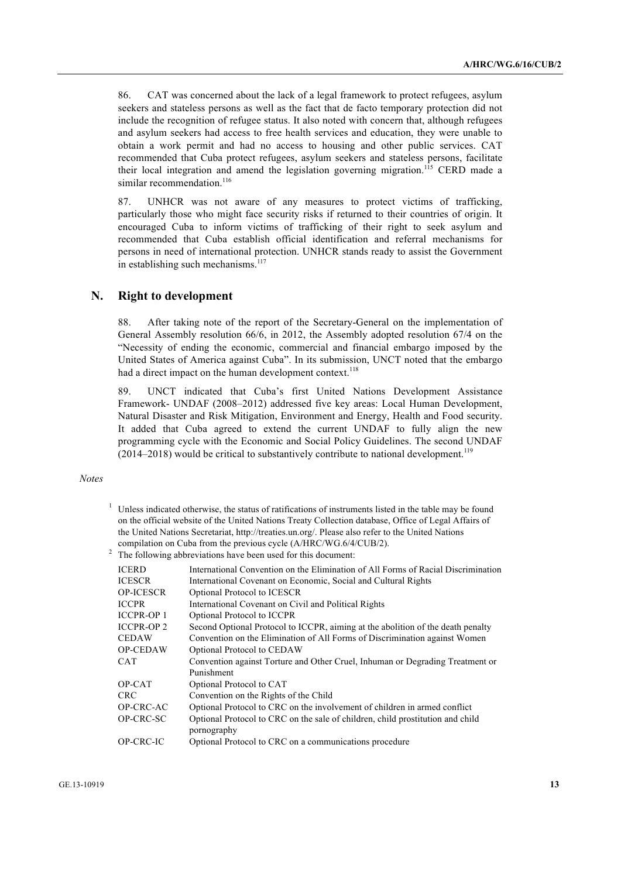86. CAT was concerned about the lack of a legal framework to protect refugees, asylum seekers and stateless persons as well as the fact that de facto temporary protection did not include the recognition of refugee status. It also noted with concern that, although refugees and asylum seekers had access to free health services and education, they were unable to obtain a work permit and had no access to housing and other public services. CAT recommended that Cuba protect refugees, asylum seekers and stateless persons, facilitate their local integration and amend the legislation governing migration.<sup>115</sup> CERD made a similar recommendation.<sup>116</sup>

87. UNHCR was not aware of any measures to protect victims of trafficking, particularly those who might face security risks if returned to their countries of origin. It encouraged Cuba to inform victims of trafficking of their right to seek asylum and recommended that Cuba establish official identification and referral mechanisms for persons in need of international protection. UNHCR stands ready to assist the Government in establishing such mechanisms. $117$ 

### **N. Right to development**

88. After taking note of the report of the Secretary-General on the implementation of General Assembly resolution 66/6, in 2012, the Assembly adopted resolution 67/4 on the "Necessity of ending the economic, commercial and financial embargo imposed by the United States of America against Cuba". In its submission, UNCT noted that the embargo had a direct impact on the human development context.<sup>118</sup>

89. UNCT indicated that Cuba's first United Nations Development Assistance Framework- UNDAF (2008–2012) addressed five key areas: Local Human Development, Natural Disaster and Risk Mitigation, Environment and Energy, Health and Food security. It added that Cuba agreed to extend the current UNDAF to fully align the new programming cycle with the Economic and Social Policy Guidelines. The second UNDAF  $(2014–2018)$  would be critical to substantively contribute to national development.<sup>119</sup>

#### *Notes*

- $1$  Unless indicated otherwise, the status of ratifications of instruments listed in the table may be found on the official website of the United Nations Treaty Collection database, Office of Legal Affairs of the United Nations Secretariat, http://treaties.un.org/. Please also refer to the United Nations compilation on Cuba from the previous cycle (A/HRC/WG.6/4/CUB/2).
- <sup>2</sup> The following abbreviations have been used for this document:

| <b>ICERD</b>      | International Convention on the Elimination of All Forms of Racial Discrimination |
|-------------------|-----------------------------------------------------------------------------------|
| <b>ICESCR</b>     | International Covenant on Economic, Social and Cultural Rights                    |
| <b>OP-ICESCR</b>  | Optional Protocol to ICESCR                                                       |
| <b>ICCPR</b>      | International Covenant on Civil and Political Rights                              |
| <b>ICCPR-OP1</b>  | Optional Protocol to ICCPR                                                        |
| <b>ICCPR-OP 2</b> | Second Optional Protocol to ICCPR, aiming at the abolition of the death penalty   |
| <b>CEDAW</b>      | Convention on the Elimination of All Forms of Discrimination against Women        |
| <b>OP-CEDAW</b>   | Optional Protocol to CEDAW                                                        |
| <b>CAT</b>        | Convention against Torture and Other Cruel, Inhuman or Degrading Treatment or     |
|                   | Punishment                                                                        |
| OP-CAT            | Optional Protocol to CAT                                                          |
| <b>CRC</b>        | Convention on the Rights of the Child                                             |
| <b>OP-CRC-AC</b>  | Optional Protocol to CRC on the involvement of children in armed conflict         |
| OP-CRC-SC         | Optional Protocol to CRC on the sale of children, child prostitution and child    |
|                   | pornography                                                                       |
| OP-CRC-IC         | Optional Protocol to CRC on a communications procedure                            |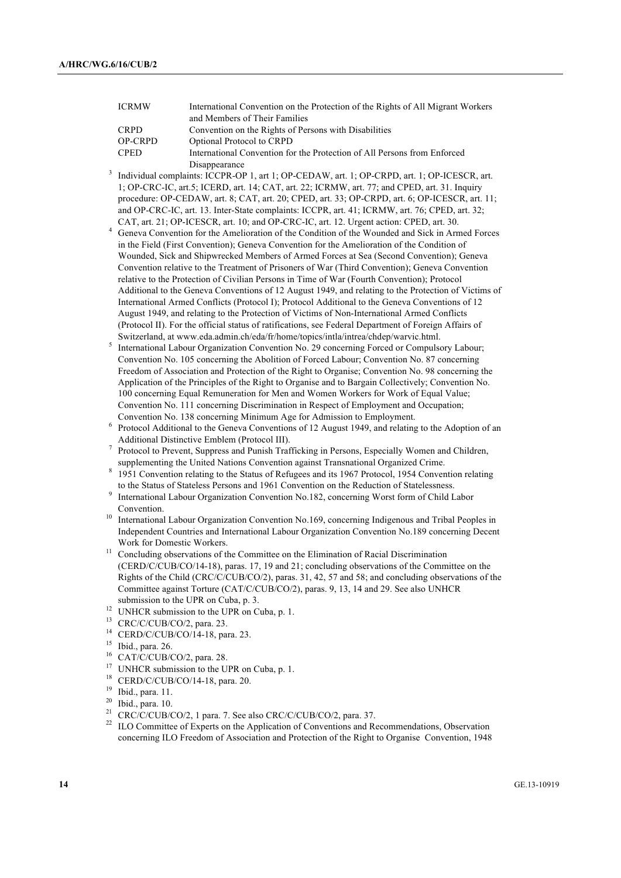| <b>ICRMW</b>   | International Convention on the Protection of the Rights of All Migrant Workers |
|----------------|---------------------------------------------------------------------------------|
|                | and Members of Their Families                                                   |
| <b>CRPD</b>    | Convention on the Rights of Persons with Disabilities                           |
| <b>OP-CRPD</b> | Optional Protocol to CRPD                                                       |
| <b>CPED</b>    | International Convention for the Protection of All Persons from Enforced        |
|                | Disappearance                                                                   |

- Individual complaints: ICCPR-OP 1, art 1; OP-CEDAW, art. 1; OP-CRPD, art. 1; OP-ICESCR, art. 1; OP-CRC-IC, art.5; ICERD, art. 14; CAT, art. 22; ICRMW, art. 77; and CPED, art. 31. Inquiry procedure: OP-CEDAW, art. 8; CAT, art. 20; CPED, art. 33; OP-CRPD, art. 6; OP-ICESCR, art. 11; and OP-CRC-IC, art. 13. Inter-State complaints: ICCPR, art. 41; ICRMW, art. 76; CPED, art. 32; CAT, art. 21; OP-ICESCR, art. 10; and OP-CRC-IC, art. 12. Urgent action: CPED, art. 30.
- <sup>4</sup> Geneva Convention for the Amelioration of the Condition of the Wounded and Sick in Armed Forces in the Field (First Convention); Geneva Convention for the Amelioration of the Condition of Wounded, Sick and Shipwrecked Members of Armed Forces at Sea (Second Convention); Geneva Convention relative to the Treatment of Prisoners of War (Third Convention); Geneva Convention relative to the Protection of Civilian Persons in Time of War (Fourth Convention); Protocol Additional to the Geneva Conventions of 12 August 1949, and relating to the Protection of Victims of International Armed Conflicts (Protocol I); Protocol Additional to the Geneva Conventions of 12 August 1949, and relating to the Protection of Victims of Non-International Armed Conflicts (Protocol II). For the official status of ratifications, see Federal Department of Foreign Affairs of Switzerland, at www.eda.admin.ch/eda/fr/home/topics/intla/intrea/chdep/warvic.html.
- <sup>5</sup> International Labour Organization Convention No. 29 concerning Forced or Compulsory Labour; Convention No. 105 concerning the Abolition of Forced Labour; Convention No. 87 concerning Freedom of Association and Protection of the Right to Organise; Convention No. 98 concerning the Application of the Principles of the Right to Organise and to Bargain Collectively; Convention No. 100 concerning Equal Remuneration for Men and Women Workers for Work of Equal Value; Convention No. 111 concerning Discrimination in Respect of Employment and Occupation; Convention No. 138 concerning Minimum Age for Admission to Employment.
- <sup>6</sup> Protocol Additional to the Geneva Conventions of 12 August 1949, and relating to the Adoption of an Additional Distinctive Emblem (Protocol III).
- <sup>7</sup> Protocol to Prevent, Suppress and Punish Trafficking in Persons, Especially Women and Children, supplementing the United Nations Convention against Transnational Organized Crime.
- <sup>8</sup> 1951 Convention relating to the Status of Refugees and its 1967 Protocol, 1954 Convention relating to the Status of Stateless Persons and 1961 Convention on the Reduction of Statelessness.
- <sup>9</sup> International Labour Organization Convention No.182, concerning Worst form of Child Labor Convention.
- <sup>10</sup> International Labour Organization Convention No.169, concerning Indigenous and Tribal Peoples in Independent Countries and International Labour Organization Convention No.189 concerning Decent Work for Domestic Workers.
- <sup>11</sup> Concluding observations of the Committee on the Elimination of Racial Discrimination (CERD/C/CUB/CO/14-18), paras. 17, 19 and 21; concluding observations of the Committee on the Rights of the Child (CRC/C/CUB/CO/2), paras. 31, 42, 57 and 58; and concluding observations of the Committee against Torture (CAT/C/CUB/CO/2), paras. 9, 13, 14 and 29. See also UNHCR submission to the UPR on Cuba, p. 3.
- <sup>12</sup> UNHCR submission to the UPR on Cuba, p. 1.
- $^{13}$  CRC/C/CUB/CO/2, para. 23.
- $^{14}$  CERD/C/CUB/CO/14-18, para. 23.
- <sup>15</sup> Ibid., para. 26.
- $^{16}$  CAT/C/CUB/CO/2, para. 28.
- <sup>17</sup> UNHCR submission to the UPR on Cuba, p. 1.<br><sup>18</sup> CERD/C/CUR/CO/14, 18, para 20
- $^{18}$  CERD/C/CUB/CO/14-18, para. 20.<br> $^{19}$  Ibid. para. 11
- $\frac{19}{20}$  Ibid., para. 11.
- $^{20}$  Ibid., para. 10.
- CRC/C/CUB/CO/2, 1 para. 7. See also CRC/C/CUB/CO/2, para. 37.
- <sup>22</sup> ILO Committee of Experts on the Application of Conventions and Recommendations, Observation concerning ILO Freedom of Association and Protection of the Right to Organise Convention, 1948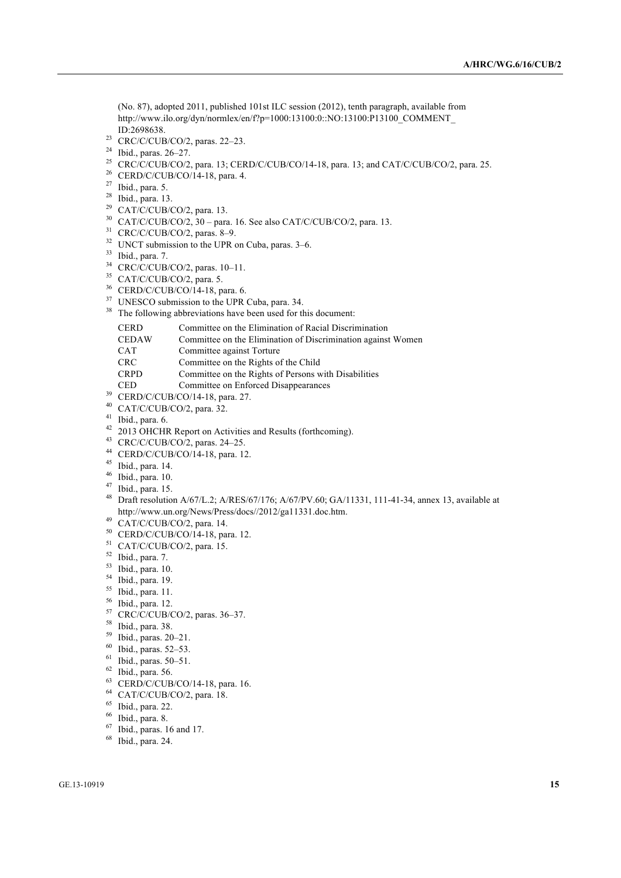(No. 87), adopted 2011, published 101st ILC session (2012), tenth paragraph, available from http://www.ilo.org/dyn/normlex/en/f?p=1000:13100:0::NO:13100:P13100\_COMMENT\_ ID:2698638.

- <sup>23</sup> CRC/C/CUB/CO/2, paras. 22–23.
- Ibid., paras. 26–27.
- <sup>25</sup> CRC/C/CUB/CO/2, para. 13; CERD/C/CUB/CO/14-18, para. 13; and CAT/C/CUB/CO/2, para. 25.
- CERD/C/CUB/CO/14-18, para. 4.
- Ibid., para. 5.
- Ibid., para. 13.
- <sup>29</sup> CAT/C/CUB/CO/2, para. 13.
- CAT/C/CUB/CO/2, 30 para. 16. See also CAT/C/CUB/CO/2, para. 13.
- CRC/C/CUB/CO/2, paras. 8–9.
- UNCT submission to the UPR on Cuba, paras. 3–6.
- Ibid., para. 7.
- CRC/C/CUB/CO/2, paras. 10–11.
- <sup>35</sup> CAT/C/CUB/CO/2, para. 5.
- CERD/C/CUB/CO/14-18, para. 6.
- <sup>37</sup> UNESCO submission to the UPR Cuba, para. 34.
- <sup>38</sup> The following abbreviations have been used for this document:

| <b>CERD</b>  | Committee on the Elimination of Racial Discrimination        |
|--------------|--------------------------------------------------------------|
| <b>CEDAW</b> | Committee on the Elimination of Discrimination against Women |
| <b>CAT</b>   | Committee against Torture                                    |
| <b>CRC</b>   | Committee on the Rights of the Child                         |
| <b>CRPD</b>  | Committee on the Rights of Persons with Disabilities         |
| <b>CED</b>   | Committee on Enforced Disappearances                         |

- CERD/C/CUB/CO/14-18, para. 27.
- CAT/C/CUB/CO/2, para. 32.
- Ibid., para. 6.
- 42 2013 OHCHR Report on Activities and Results (forthcoming).
- CRC/C/CUB/CO/2, paras. 24–25.
- CERD/C/CUB/CO/14-18, para. 12.
- Ibid., para. 14.
- Ibid., para. 10.
- Ibid., para. 15.
- Draft resolution A/67/L.2; A/RES/67/176; A/67/PV.60; GA/11331, 111-41-34, annex 13, available at http://www.un.org/News/Press/docs//2012/ga11331.doc.htm.
- CAT/C/CUB/CO/2, para. 14.
- CERD/C/CUB/CO/14-18, para. 12.
- CAT/C/CUB/CO/2, para. 15.
- Ibid., para. 7.
- Ibid., para. 10.
- Ibid., para. 19.
- Ibid., para. 11.
- Ibid., para. 12.
- CRC/C/CUB/CO/2, paras. 36–37.
- Ibid., para. 38.
- Ibid., paras. 20–21.
- Ibid., paras. 52–53.
- Ibid., paras. 50–51.
- Ibid., para. 56.
- 
- CERD/C/CUB/CO/14-18, para. 16.
- CAT/C/CUB/CO/2, para. 18.
- Ibid., para. 22.
- Ibid., para. 8.
- Ibid., paras. 16 and 17.
- Ibid., para. 24.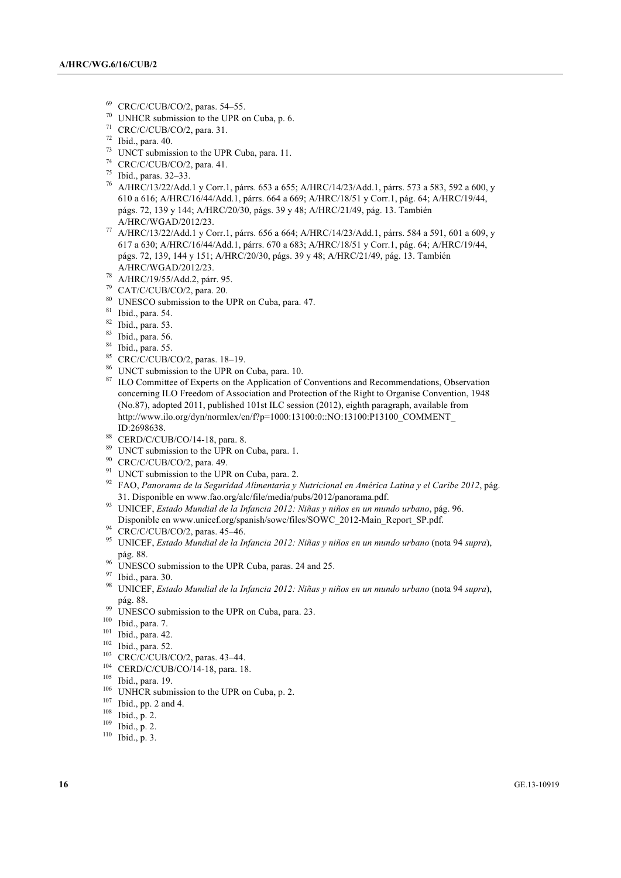- $^{69}$  CRC/C/CUB/CO/2, paras. 54–55.<br> $^{70}$  UNHCP submission to the UPP s
- UNHCR submission to the UPR on Cuba, p. 6.
- <sup>71</sup> CRC/C/CUB/CO/2, para. 31.
- <sup>72</sup> Ibid., para. 40.
- $73$  UNCT submission to the UPR Cuba, para. 11.
- <sup>74</sup> CRC/C/CUB/CO/2, para. 41.
- <sup>75</sup> Ibid., paras. 32–33.
- <sup>76</sup> A/HRC/13/22/Add.1 y Corr.1, párrs. 653 a 655; A/HRC/14/23/Add.1, párrs. 573 a 583, 592 a 600, y 610 a 616; A/HRC/16/44/Add.1, párrs. 664 a 669; A/HRC/18/51 y Corr.1, pág. 64; A/HRC/19/44, págs. 72, 139 y 144; A/HRC/20/30, págs. 39 y 48; A/HRC/21/49, pág. 13. También A/HRC/WGAD/2012/23.
- <sup>77</sup> A/HRC/13/22/Add.1 y Corr.1, párrs. 656 a 664; A/HRC/14/23/Add.1, párrs. 584 a 591, 601 a 609, y 617 a 630; A/HRC/16/44/Add.1, párrs. 670 a 683; A/HRC/18/51 y Corr.1, pág. 64; A/HRC/19/44, págs. 72, 139, 144 y 151; A/HRC/20/30, págs. 39 y 48; A/HRC/21/49, pág. 13. También A/HRC/WGAD/2012/23.
- <sup>78</sup> A/HRC/19/55/Add.2, párr. 95.
- <sup>79</sup> CAT/C/CUB/CO/2, para. 20.
- <sup>80</sup> UNESCO submission to the UPR on Cuba, para. 47.
- <sup>81</sup> Ibid., para. 54.
- <sup>82</sup> Ibid., para. 53.
- <sup>83</sup> Ibid., para. 56.
- <sup>84</sup> Ibid., para. 55.
- <sup>85</sup> CRC/C/CUB/CO/2, paras. 18–19.
- <sup>86</sup> UNCT submission to the UPR on Cuba, para. 10.
- <sup>87</sup> ILO Committee of Experts on the Application of Conventions and Recommendations, Observation concerning ILO Freedom of Association and Protection of the Right to Organise Convention, 1948 (No.87), adopted 2011, published 101st ILC session (2012), eighth paragraph, available from http://www.ilo.org/dyn/normlex/en/f?p=1000:13100:0::NO:13100:P13100\_COMMENT\_ ID:2698638.
- 88 CERD/C/CUB/CO/14-18, para. 8.
- <sup>89</sup> UNCT submission to the UPR on Cuba, para. 1.
- <sup>90</sup> CRC/C/CUB/CO/2, para. 49.
- <sup>91</sup> UNCT submission to the UPR on Cuba, para. 2.
- <sup>92</sup> FAO, *Panorama de la Seguridad Alimentaria y Nutricional en América Latina y el Caribe 2012*, pág. 31. Disponible en www.fao.org/alc/file/media/pubs/2012/panorama.pdf.
- <sup>93</sup> UNICEF, *Estado Mundial de la Infancia 2012: Niñas y niños en un mundo urbano*, pág. 96. Disponible en www.unicef.org/spanish/sowc/files/SOWC\_2012-Main\_Report\_SP.pdf.
- <sup>94</sup> CRC/C/CUB/CO/2, paras. 45–46.
- <sup>95</sup> UNICEF, *Estado Mundial de la Infancia 2012: Niñas y niños en un mundo urbano* (nota 94 *supra*), pág. 88.
- <sup>96</sup> UNESCO submission to the UPR Cuba, paras. 24 and 25.
- <sup>97</sup> Ibid., para. 30.
- <sup>98</sup> UNICEF, *Estado Mundial de la Infancia 2012: Niñas y niños en un mundo urbano* (nota 94 *supra*), pág. 88.
- <sup>99</sup> UNESCO submission to the UPR on Cuba, para. 23.
- <sup>100</sup> Ibid., para. 7.
- <sup>101</sup> Ibid., para. 42.
- <sup>102</sup> Ibid., para. 52.
- <sup>103</sup> CRC/C/CUB/CO/2, paras. 43–44.
- <sup>104</sup> CERD/C/CUB/CO/14-18, para. 18.
- <sup>105</sup> Ibid., para. 19.
- <sup>106</sup> UNHCR submission to the UPR on Cuba, p. 2.
- <sup>107</sup> Ibid., pp. 2 and 4.
- <sup>108</sup> Ibid., p. 2.
- <sup>109</sup> Ibid., p. 2.
- <sup>110</sup> Ibid., p. 3.